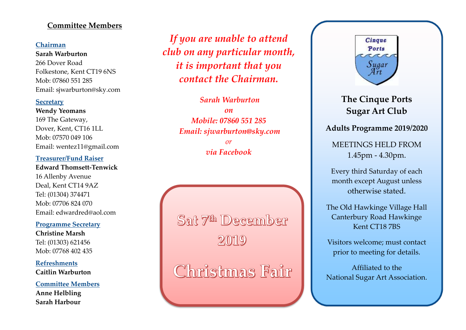## **Committee Members**

#### **Chairman**

**Sarah Warburton** 266 Dover Road Folkestone, Kent CT19 6NS Mob: 07860 551 285 Email: sjwarburton@sky.com

#### **Secretary**

**Wendy Yeomans** 169 The Gateway, Dover, Kent, CT16 1LL Mob: 07570 049 106 Email: wentez11@gmail.com

#### **Treasurer/Fund Raiser**

**Edward Thomsett-Tenwick** 16 Allenby Avenue Deal, Kent CT14 9AZ Tel: (01304) 374471 Mob: 07706 824 070 Email: edwardred@aol.com

#### **Programme Secretary**

**Christine Marsh** Tel: (01303) 621456 Mob: 07768 402 435

**Refreshments Caitlin Warburton**

**Committee Members Anne Helbling Sarah Harbour**

*If you are unable to attend club on any particular month, it is important that you contact the Chairman.*

> *Sarah Warburton on Mobile: 07860 551 285 Email: sjwarburton@sky.com or via Facebook*

Sat 7th December 2019

Christmas Fair



**The Cinque Ports Sugar Art Club**

**Adults Programme 2019/2020**

MEETINGS HELD FROM 1.45pm - 4.30pm.

Every third Saturday of each month except August unless otherwise stated.

The Old Hawkinge Village Hall Canterbury Road Hawkinge Kent CT18 7BS

Visitors welcome; must contact prior to meeting for details.

Affiliated to the National Sugar Art Association.